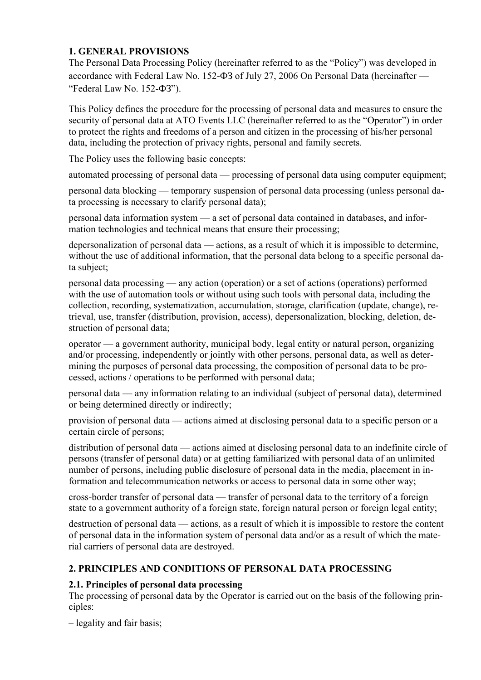# **1. GENERAL PROVISIONS**

The Personal Data Processing Policy (hereinafter referred to as the "Policy") was developed in accordance with Federal Law No. 152-ФЗ of July 27, 2006 On Personal Data (hereinafter — "Federal Law No. 152-ФЗ").

This Policy defines the procedure for the processing of personal data and measures to ensure the security of personal data at ATO Events LLC (hereinafter referred to as the "Operator") in order to protect the rights and freedoms of a person and citizen in the processing of his/her personal data, including the protection of privacy rights, personal and family secrets.

The Policy uses the following basic concepts:

automated processing of personal data — processing of personal data using computer equipment;

personal data blocking — temporary suspension of personal data processing (unless personal data processing is necessary to clarify personal data);

personal data information system — a set of personal data contained in databases, and information technologies and technical means that ensure their processing;

depersonalization of personal data — actions, as a result of which it is impossible to determine, without the use of additional information, that the personal data belong to a specific personal data subject;

personal data processing — any action (operation) or a set of actions (operations) performed with the use of automation tools or without using such tools with personal data, including the collection, recording, systematization, accumulation, storage, clarification (update, change), retrieval, use, transfer (distribution, provision, access), depersonalization, blocking, deletion, destruction of personal data;

operator — a government authority, municipal body, legal entity or natural person, organizing and/or processing, independently or jointly with other persons, personal data, as well as determining the purposes of personal data processing, the composition of personal data to be processed, actions / operations to be performed with personal data;

personal data — any information relating to an individual (subject of personal data), determined or being determined directly or indirectly;

provision of personal data — actions aimed at disclosing personal data to a specific person or a certain circle of persons;

distribution of personal data — actions aimed at disclosing personal data to an indefinite circle of persons (transfer of personal data) or at getting familiarized with personal data of an unlimited number of persons, including public disclosure of personal data in the media, placement in information and telecommunication networks or access to personal data in some other way;

cross-border transfer of personal data — transfer of personal data to the territory of a foreign state to a government authority of a foreign state, foreign natural person or foreign legal entity;

destruction of personal data — actions, as a result of which it is impossible to restore the content of personal data in the information system of personal data and/or as a result of which the material carriers of personal data are destroyed.

# **2. PRINCIPLES AND CONDITIONS OF PERSONAL DATA PROCESSING**

# **2.1. Principles of personal data processing**

The processing of personal data by the Operator is carried out on the basis of the following principles:

– legality and fair basis;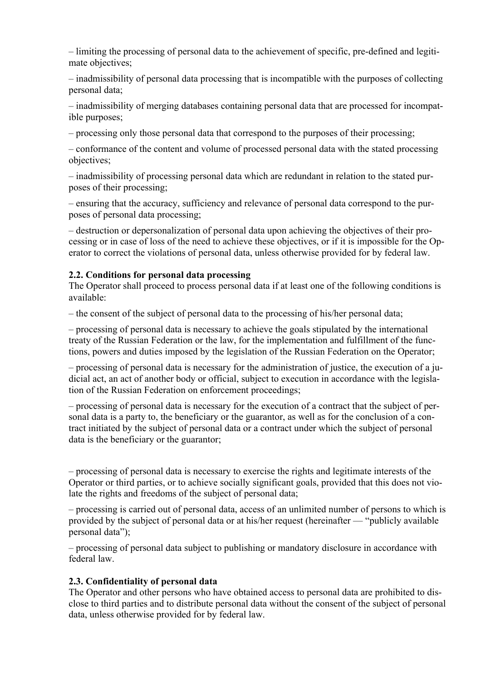– limiting the processing of personal data to the achievement of specific, pre-defined and legitimate objectives;

– inadmissibility of personal data processing that is incompatible with the purposes of collecting personal data;

– inadmissibility of merging databases containing personal data that are processed for incompatible purposes;

– processing only those personal data that correspond to the purposes of their processing;

– conformance of the content and volume of processed personal data with the stated processing objectives;

– inadmissibility of processing personal data which are redundant in relation to the stated purposes of their processing;

– ensuring that the accuracy, sufficiency and relevance of personal data correspond to the purposes of personal data processing;

– destruction or depersonalization of personal data upon achieving the objectives of their processing or in case of loss of the need to achieve these objectives, or if it is impossible for the Operator to correct the violations of personal data, unless otherwise provided for by federal law.

#### **2.2. Conditions for personal data processing**

The Operator shall proceed to process personal data if at least one of the following conditions is available:

– the consent of the subject of personal data to the processing of his/her personal data;

– processing of personal data is necessary to achieve the goals stipulated by the international treaty of the Russian Federation or the law, for the implementation and fulfillment of the functions, powers and duties imposed by the legislation of the Russian Federation on the Operator;

– processing of personal data is necessary for the administration of justice, the execution of a judicial act, an act of another body or official, subject to execution in accordance with the legislation of the Russian Federation on enforcement proceedings;

– processing of personal data is necessary for the execution of a contract that the subject of personal data is a party to, the beneficiary or the guarantor, as well as for the conclusion of a contract initiated by the subject of personal data or a contract under which the subject of personal data is the beneficiary or the guarantor;

– processing of personal data is necessary to exercise the rights and legitimate interests of the Operator or third parties, or to achieve socially significant goals, provided that this does not violate the rights and freedoms of the subject of personal data;

– processing is carried out of personal data, access of an unlimited number of persons to which is provided by the subject of personal data or at his/her request (hereinafter — "publicly available personal data");

– processing of personal data subject to publishing or mandatory disclosure in accordance with federal law.

#### **2.3. Confidentiality of personal data**

The Operator and other persons who have obtained access to personal data are prohibited to disclose to third parties and to distribute personal data without the consent of the subject of personal data, unless otherwise provided for by federal law.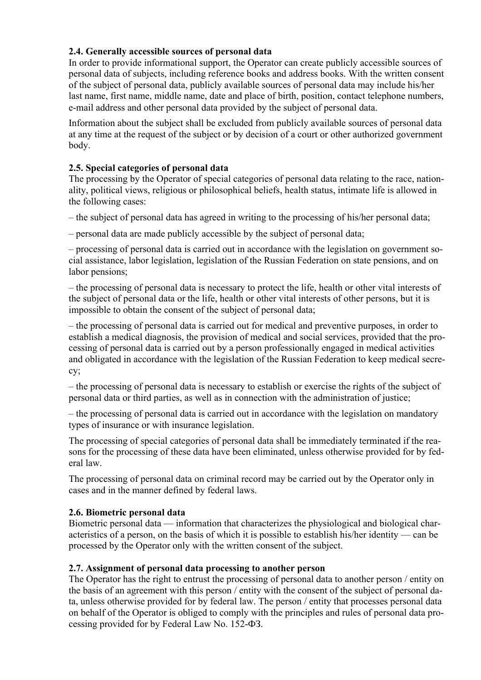# **2.4. Generally accessible sources of personal data**

In order to provide informational support, the Operator can create publicly accessible sources of personal data of subjects, including reference books and address books. With the written consent of the subject of personal data, publicly available sources of personal data may include his/her last name, first name, middle name, date and place of birth, position, contact telephone numbers, e-mail address and other personal data provided by the subject of personal data.

Information about the subject shall be excluded from publicly available sources of personal data at any time at the request of the subject or by decision of a court or other authorized government body.

## **2.5. Special categories of personal data**

The processing by the Operator of special categories of personal data relating to the race, nationality, political views, religious or philosophical beliefs, health status, intimate life is allowed in the following cases:

– the subject of personal data has agreed in writing to the processing of his/her personal data;

– personal data are made publicly accessible by the subject of personal data;

– processing of personal data is carried out in accordance with the legislation on government social assistance, labor legislation, legislation of the Russian Federation on state pensions, and on labor pensions;

– the processing of personal data is necessary to protect the life, health or other vital interests of the subject of personal data or the life, health or other vital interests of other persons, but it is impossible to obtain the consent of the subject of personal data;

– the processing of personal data is carried out for medical and preventive purposes, in order to establish a medical diagnosis, the provision of medical and social services, provided that the processing of personal data is carried out by a person professionally engaged in medical activities and obligated in accordance with the legislation of the Russian Federation to keep medical secrecy;

– the processing of personal data is necessary to establish or exercise the rights of the subject of personal data or third parties, as well as in connection with the administration of justice;

– the processing of personal data is carried out in accordance with the legislation on mandatory types of insurance or with insurance legislation.

The processing of special categories of personal data shall be immediately terminated if the reasons for the processing of these data have been eliminated, unless otherwise provided for by federal law.

The processing of personal data on criminal record may be carried out by the Operator only in cases and in the manner defined by federal laws.

### **2.6. Biometric personal data**

Biometric personal data — information that characterizes the physiological and biological characteristics of a person, on the basis of which it is possible to establish his/her identity — can be processed by the Operator only with the written consent of the subject.

### **2.7. Assignment of personal data processing to another person**

The Operator has the right to entrust the processing of personal data to another person / entity on the basis of an agreement with this person / entity with the consent of the subject of personal data, unless otherwise provided for by federal law. The person / entity that processes personal data on behalf of the Operator is obliged to comply with the principles and rules of personal data processing provided for by Federal Law No. 152-ФЗ.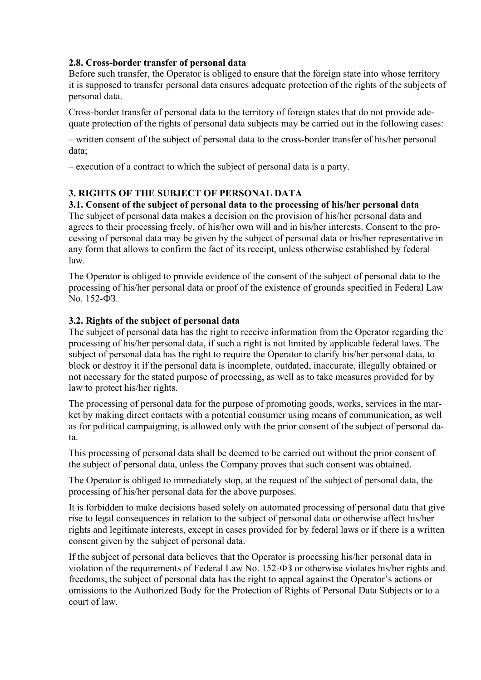### **2.8. Cross-border transfer of personal data**

Before such transfer, the Operator is obliged to ensure that the foreign state into whose territory it is supposed to transfer personal data ensures adequate protection of the rights of the subjects of personal data.

Cross-border transfer of personal data to the territory of foreign states that do not provide adequate protection of the rights of personal data subjects may be carried out in the following cases:

– written consent of the subject of personal data to the cross-border transfer of his/her personal data;

– execution of a contract to which the subject of personal data is a party.

## **3. RIGHTS OF THE SUBJECT OF PERSONAL DATA**

### **3.1. Consent of the subject of personal data to the processing of his/her personal data**

The subject of personal data makes a decision on the provision of his/her personal data and agrees to their processing freely, of his/her own will and in his/her interests. Consent to the processing of personal data may be given by the subject of personal data or his/her representative in any form that allows to confirm the fact of its receipt, unless otherwise established by federal law.

The Operator is obliged to provide evidence of the consent of the subject of personal data to the processing of his/her personal data or proof of the existence of grounds specified in Federal Law No. 152-ФЗ.

### **3.2. Rights of the subject of personal data**

The subject of personal data has the right to receive information from the Operator regarding the processing of his/her personal data, if such a right is not limited by applicable federal laws. The subject of personal data has the right to require the Operator to clarify his/her personal data, to block or destroy it if the personal data is incomplete, outdated, inaccurate, illegally obtained or not necessary for the stated purpose of processing, as well as to take measures provided for by law to protect his/her rights.

The processing of personal data for the purpose of promoting goods, works, services in the market by making direct contacts with a potential consumer using means of communication, as well as for political campaigning, is allowed only with the prior consent of the subject of personal data.

This processing of personal data shall be deemed to be carried out without the prior consent of the subject of personal data, unless the Company proves that such consent was obtained.

The Operator is obliged to immediately stop, at the request of the subject of personal data, the processing of his/her personal data for the above purposes.

It is forbidden to make decisions based solely on automated processing of personal data that give rise to legal consequences in relation to the subject of personal data or otherwise affect his/her rights and legitimate interests, except in cases provided for by federal laws or if there is a written consent given by the subject of personal data.

If the subject of personal data believes that the Operator is processing his/her personal data in violation of the requirements of Federal Law No. 152-ФЗ or otherwise violates his/her rights and freedoms, the subject of personal data has the right to appeal against the Operator's actions or omissions to the Authorized Body for the Protection of Rights of Personal Data Subjects or to a court of law.